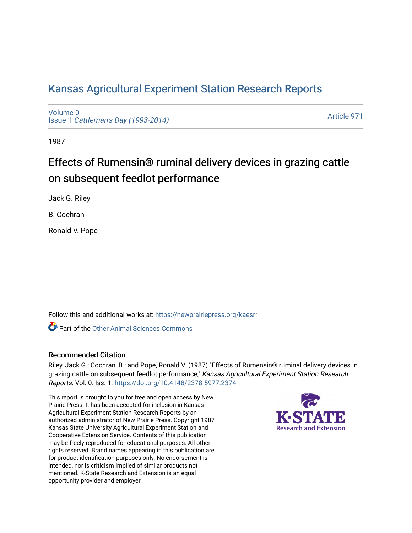## [Kansas Agricultural Experiment Station Research Reports](https://newprairiepress.org/kaesrr)

[Volume 0](https://newprairiepress.org/kaesrr/vol0) Issue 1 [Cattleman's Day \(1993-2014\)](https://newprairiepress.org/kaesrr/vol0/iss1) 

[Article 971](https://newprairiepress.org/kaesrr/vol0/iss1/971) 

1987

# Effects of Rumensin® ruminal delivery devices in grazing cattle on subsequent feedlot performance

Jack G. Riley

B. Cochran

Ronald V. Pope

Follow this and additional works at: [https://newprairiepress.org/kaesrr](https://newprairiepress.org/kaesrr?utm_source=newprairiepress.org%2Fkaesrr%2Fvol0%2Fiss1%2F971&utm_medium=PDF&utm_campaign=PDFCoverPages) 

**C** Part of the [Other Animal Sciences Commons](http://network.bepress.com/hgg/discipline/82?utm_source=newprairiepress.org%2Fkaesrr%2Fvol0%2Fiss1%2F971&utm_medium=PDF&utm_campaign=PDFCoverPages)

#### Recommended Citation

Riley, Jack G.; Cochran, B.; and Pope, Ronald V. (1987) "Effects of Rumensin® ruminal delivery devices in grazing cattle on subsequent feedlot performance," Kansas Agricultural Experiment Station Research Reports: Vol. 0: Iss. 1.<https://doi.org/10.4148/2378-5977.2374>

This report is brought to you for free and open access by New Prairie Press. It has been accepted for inclusion in Kansas Agricultural Experiment Station Research Reports by an authorized administrator of New Prairie Press. Copyright 1987 Kansas State University Agricultural Experiment Station and Cooperative Extension Service. Contents of this publication may be freely reproduced for educational purposes. All other rights reserved. Brand names appearing in this publication are for product identification purposes only. No endorsement is intended, nor is criticism implied of similar products not mentioned. K-State Research and Extension is an equal opportunity provider and employer.

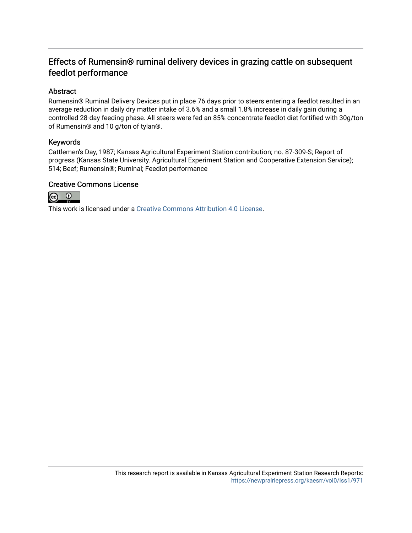## Effects of Rumensin® ruminal delivery devices in grazing cattle on subsequent feedlot performance

#### Abstract

Rumensin® Ruminal Delivery Devices put in place 76 days prior to steers entering a feedlot resulted in an average reduction in daily dry matter intake of 3.6% and a small 1.8% increase in daily gain during a controlled 28-day feeding phase. All steers were fed an 85% concentrate feedlot diet fortified with 30g/ton of Rumensin® and 10 g/ton of tylan®.

#### Keywords

Cattlemen's Day, 1987; Kansas Agricultural Experiment Station contribution; no. 87-309-S; Report of progress (Kansas State University. Agricultural Experiment Station and Cooperative Extension Service); 514; Beef; Rumensin®; Ruminal; Feedlot performance

#### Creative Commons License



This work is licensed under a [Creative Commons Attribution 4.0 License](https://creativecommons.org/licenses/by/4.0/).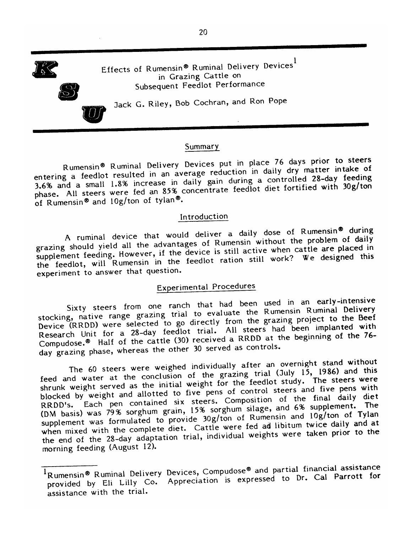

Effects of Rumensin® Ruminal Delivery Devices<sup>1</sup> in Grazing Cattle on Subsequent Feedlot Performance

Jack G. Riley, Bob Cochran, and Ron Pope

#### Summary

Rumensin® Ruminal Delivery Devices put in place 76 days prior to steers entering a feedlot resulted in an average reduction in daily dry matter intake of 3.6% and a small 1.8% increase in daily gain during a controlled 28-day feeding phase. All steers were fed an 85% concentrate feedlot diet fortified with 30g/ton of Rumensin® and 10g/ton of tylan®.

#### Introduction

A ruminal device that would deliver a daily dose of Rumensin® during grazing should yield all the advantages of Rumensin without the problem of daily supplement feeding. However, if the device is still active when cattle are placed in the feedlot, will Rumensin in the feedlot ration still work? We designed this experiment to answer that question.

### **Experimental Procedures**

Sixty steers from one ranch that had been used in an early-intensive stocking, native range grazing trial to evaluate the Rumensin Ruminal Delivery Device (RRDD) were selected to go directly from the grazing project to the Beef Research Unit for a 28-day feedlot trial. All steers had been implanted with Compudose.<sup>®</sup> Half of the cattle (30) received a RRDD at the beginning of the 76day grazing phase, whereas the other 30 served as controls.

The 60 steers were weighed individually after an overnight stand without feed and water at the conclusion of the grazing trial (July 15, 1986) and this shrunk weight served as the initial weight for the feedlot study. The steers were blocked by weight and allotted to five pens of control steers and five pens with RRDD's. Each pen contained six steers. Composition of the final daily diet (DM basis) was 79% sorghum grain, 15% sorghum silage, and 6% supplement. The supplement was formulated to provide 30g/ton of Rumensin and 10g/ton of Tylan when mixed with the complete diet. Cattle were fed ad libitum twice daily and at the end of the 28-day adaptation trial, individual weights were taken prior to the morning feeding (August 12).

<sup>&</sup>lt;sup>1</sup>Rumensin® Ruminal Delivery Devices, Compudose® and partial financial assistance provided by Eli Lilly Co. Appreciation is expressed to Dr. Cal Parrott for assistance with the trial.